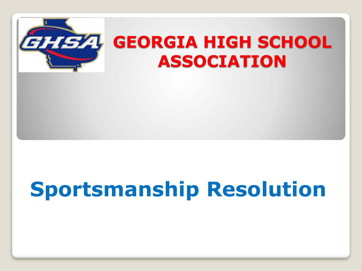

# **Sportsmanship Resolution**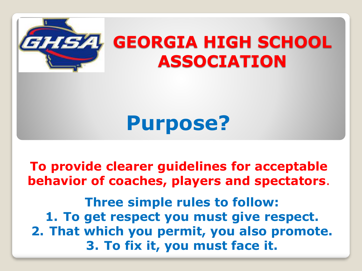

# **Purpose?**

**To provide clearer guidelines for acceptable behavior of coaches, players and spectators**.

**Three simple rules to follow: 1. To get respect you must give respect. 2. That which you permit, you also promote. 3. To fix it, you must face it.**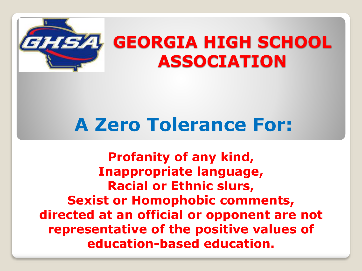

#### **A Zero Tolerance For:**

**Profanity of any kind, Inappropriate language, Racial or Ethnic slurs, Sexist or Homophobic comments, directed at an official or opponent are not representative of the positive values of education-based education.**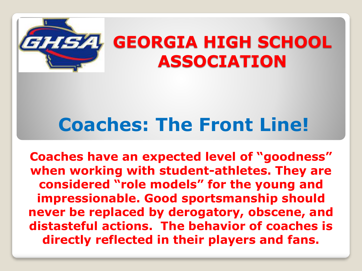

#### **Coaches: The Front Line!**

**Coaches have an expected level of "goodness" when working with student-athletes. They are considered "role models" for the young and impressionable. Good sportsmanship should never be replaced by derogatory, obscene, and distasteful actions. The behavior of coaches is directly reflected in their players and fans.**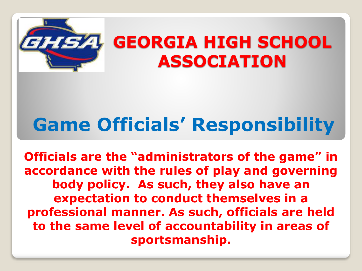

# **Game Officials' Responsibility**

**Officials are the "administrators of the game" in accordance with the rules of play and governing body policy. As such, they also have an expectation to conduct themselves in a professional manner. As such, officials are held to the same level of accountability in areas of sportsmanship.**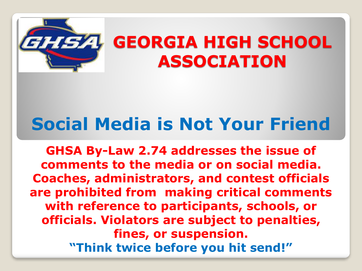

#### **Social Media is Not Your Friend**

**GHSA By-Law 2.74 addresses the issue of comments to the media or on social media. Coaches, administrators, and contest officials are prohibited from making critical comments with reference to participants, schools, or officials. Violators are subject to penalties, fines, or suspension. "Think twice before you hit send!"**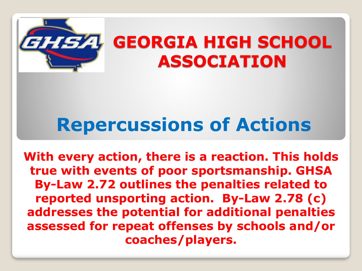

## **Repercussions of Actions**

**With every action, there is a reaction. This holds true with events of poor sportsmanship. GHSA By-Law 2.72 outlines the penalties related to reported unsporting action. By-Law 2.78 (c) addresses the potential for additional penalties assessed for repeat offenses by schools and/or coaches/players.**